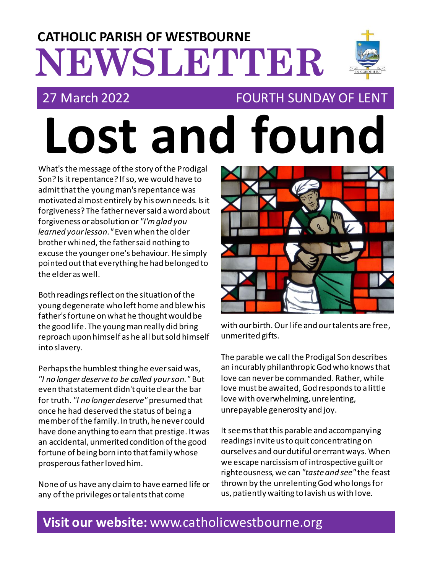# **NEWSLETTER CATHOLIC PARISH OF WESTBOURNE**

**Lost and found**

## 27 March 2022 FOURTH SUNDAY OF LENT

What's the message of the story of the Prodigal Son? Is it repentance? If so, we would have to admit that the young man's repentance was motivated almost entirely by his own needs. Is it forgiveness? The father never said a word about forgiveness or absolution or *"I'm glad you learned your lesson."* Even when the older brother whined, the father said nothing to excuse the younger one's behaviour. He simply pointed out that everything he had belonged to the elder as well.

Both readings reflect on the situation of the young degenerate who left home and blew his father's fortune on what he thought would be the good life. The young man really did bring reproach upon himself as he all but sold himself into slavery.

Perhaps the humblest thing he ever said was, *"I no longer deserve to be called your son."* But even that statement didn't quite clear the bar for truth. *"I no longer deserve"* presumed that once he had deserved the status of being a member of the family. In truth, he never could have done anything to earn that prestige. It was an accidental, unmerited condition of the good fortune of being born into that family whose prosperous father loved him.

None of us have any claim to have earned life or any of the privileges or talents that come



with our birth. Our life and our talents are free, unmerited gifts.

The parable we call the Prodigal Son describes an incurably philanthropic God who knows that love can never be commanded. Rather, while love must be awaited, God responds to a little love with overwhelming, unrelenting, unrepayable generosity and joy.

It seems that this parable and accompanying readings invite us to quit concentrating on ourselves and our dutiful or errant ways. When we escape narcissism of introspective guilt or righteousness, we can *"taste and see"* the feast thrown by the unrelenting God who longs for us, patiently waiting to lavish us with love.

## **Visit our website:** www.catholicwestbourne.org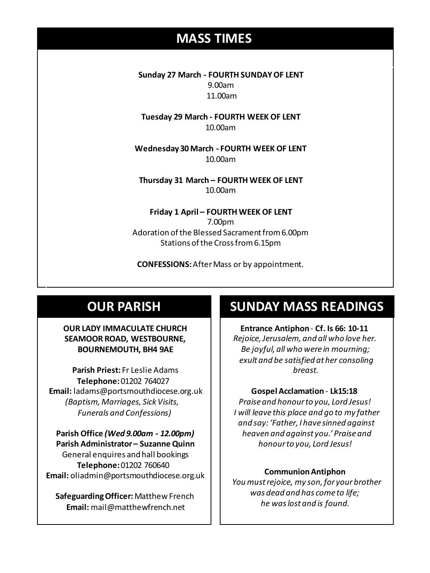## **MASS TIMES**

**Sunday 27 March - FOURTH SUNDAY OF LENT** 9.00am 11.00am

**Tuesday 29 March - FOURTH WEEK OF LENT** 10.00am

**Sunday 11th 9am:** *The Parish* **11am** *Tim Mc Cann* **Wednesday 14th** *Repose of the souls of Bernard Charles and Elsie May Pratt* **Wednesday 30 March - FOURTH WEEK OF LENT** 10.00am

**Saturday 16th** *Rosemarie Schofield RIP* **Thursday 31 March – FOURTH WEEK OF LENT Sunday 18th 11am** *The Parish*  10.00am

> **Friday 1 April – FOURTH WEEK OF LENT** 7.00pm Adoration of the Blessed Sacrament from 6.00pm Stations of the Cross from 6.15pm

**CONFESSIONS:**After Mass or by appointment.

## **OUR PARISH**

## **OUR LADY IMMACULATE CHURCH SEAMOOR ROAD, WESTBOURNE, BOURNEMOUTH, BH4 9AE**

**Parish Priest:** Fr Leslie Adams **Telephone:**01202 764027 **Email:** ladams@portsmouthdiocese.org.uk *(Baptism, Marriages, Sick Visits, Funerals and Confessions)*

**Parish Office** *(Wed 9.00am - 12.00pm)* **Parish Administrator – Suzanne Quinn** General enquires andhall bookings **Telephone:**01202 760640 **Email:** oliadmin@portsmouthdiocese.org.uk

**Safeguarding Officer:**Matthew French **Email:** mail@matthewfrench.net

## **SUNDAY MASS READINGS**

**Entrance Antiphon**- **Cf. Is 66: 10-11** *Rejoice, Jerusalem, and all who love her. Be joyful, all who were in mourning; exult and be satisfied at her consoling breast.*

### **Gospel Acclamation** - **Lk15:18**

*Praise and honour to you, Lord Jesus! I will leave this place and go to my father and say: 'Father, I have sinned against heaven and against you.' Praise and honour to you, Lord Jesus!* 

### **Communion Antiphon**

*You must rejoice, my son, for your brother was dead and has come to life; he was lost and is found.*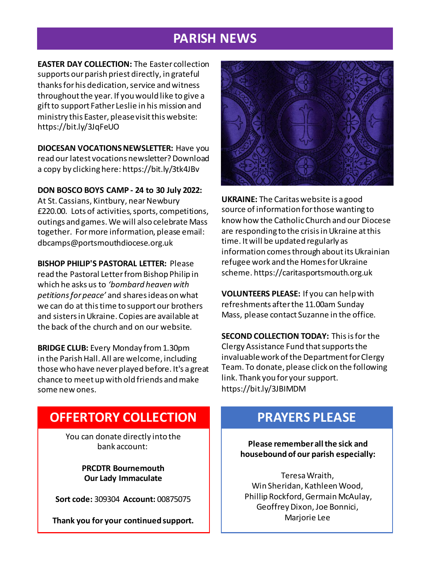## **PARISH NEWS**

**EASTER DAY COLLECTION:** The Easter collection supports our parish priest directly, in grateful thanks for his dedication, service and witness throughout the year. If you would like to give a gift to support Father Leslie in his mission and ministry this Easter, please visit this website: https://bit.ly/3JqFeUO

**DIOCESAN VOCATIONS NEWSLETTER:** Have you read our latest vocations newsletter? Download a copy by clicking here: https://bit.ly/3tk4JBv

**DON BOSCO BOYS CAMP - 24 to 30 July 2022:**

At St. Cassians, Kintbury, near Newbury £220.00. Lots of activities, sports, competitions, outings and games. We will also celebrate Mass together. For more information, please email: dbcamps@portsmouthdiocese.org.uk

**BISHOP PHILIP'S PASTORAL LETTER:** Please read the Pastoral Letter from Bishop Philip in which he asks us to *'bombard heaven with petitions for peace'* and shares ideas on what we can do at this time to support our brothers and sisters in Ukraine. Copies are available at the back of the church and on our website.

**BRIDGE CLUB:** Every Monday from 1.30pm in the Parish Hall. All are welcome, including those who have never played before. It's a great chance to meet up with old friends and make some new ones.



**UKRAINE:** The Caritas website is a good source of information for those wanting to know how the Catholic Church and our Diocese are responding to the crisis in Ukraine at this time. It will be updated regularly as information comes through about its Ukrainian refugee work and the Homes for Ukraine scheme. https://caritasportsmouth.org.uk

**VOLUNTEERS PLEASE:** If you can help with refreshments after the 11.00am Sunday Mass, please contact Suzanne in the office.

**SECOND COLLECTION TODAY:** This is for the Clergy Assistance Fund that supports the invaluable work of the Department for Clergy Team. To donate, please click on the following link. Thank you for your support. https://bit.ly/3JBIMDM

## **OFFERTORY COLLECTION**

You can donate directly into the bank account:

> **PRCDTR Bournemouth Our Lady Immaculate**

**Sort code:** 309304 **Account:** 00875075

**Thank you for your continued support.**

## **PRAYERS PLEASE**

**Please remember all the sick and housebound of our parish especially:**

Teresa Wraith, Win Sheridan, Kathleen Wood, Phillip Rockford, Germain McAulay, Geoffrey Dixon, Joe Bonnici, Marjorie Lee